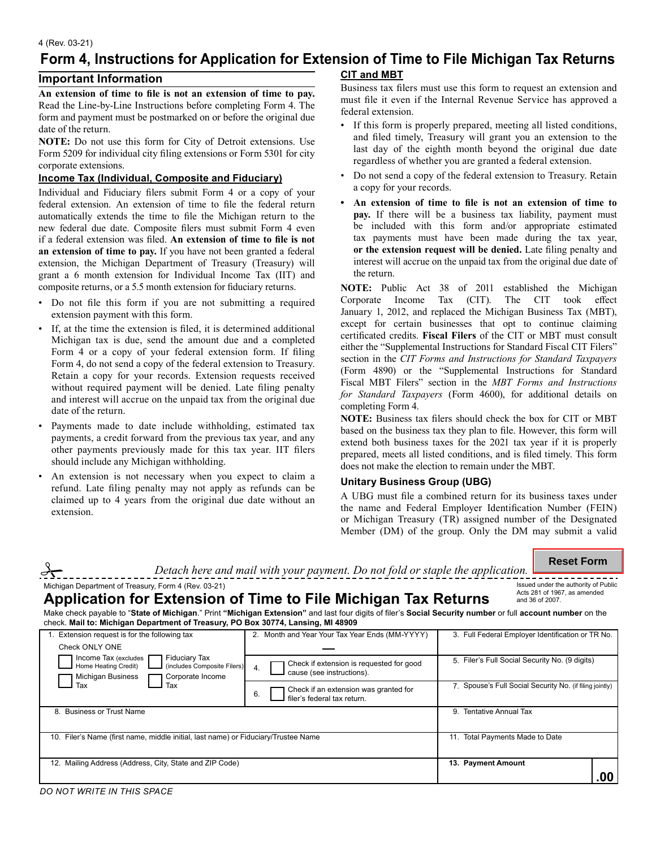#### 4 (Rev. 03-21)

# **Form 4, Instructions for Application for Extension of Time to File Michigan Tax Returns CIT and MBT**

# **Important Information**

**An extension of time to file is not an extension of time to pay.** Read the Line-by-Line Instructions before completing Form 4. The form and payment must be postmarked on or before the original due date of the return.

**NOTE:** Do not use this form for City of Detroit extensions. Use Form 5209 for individual city filing extensions or Form 5301 for city corporate extensions.

## **Income Tax (Individual, Composite and Fiduciary)**

Individual and Fiduciary filers submit Form 4 or a copy of your federal extension. An extension of time to file the federal return automatically extends the time to file the Michigan return to the new federal due date. Composite filers must submit Form 4 even if a federal extension was filed. **An extension of time to file is not an extension of time to pay.** If you have not been granted a federal extension, the Michigan Department of Treasury (Treasury) will grant a 6 month extension for Individual Income Tax (IIT) and composite returns, or a 5.5 month extension for fiduciary returns.

- Do not file this form if you are not submitting a required extension payment with this form.
- If, at the time the extension is filed, it is determined additional Michigan tax is due, send the amount due and a completed Form 4 or a copy of your federal extension form. If filing Form 4, do not send a copy of the federal extension to Treasury. Retain a copy for your records. Extension requests received without required payment will be denied. Late filing penalty and interest will accrue on the unpaid tax from the original due date of the return.
- Payments made to date include withholding, estimated tax payments, a credit forward from the previous tax year, and any other payments previously made for this tax year. IIT filers should include any Michigan withholding.
- An extension is not necessary when you expect to claim a refund. Late filing penalty may not apply as refunds can be claimed up to 4 years from the original due date without an extension.

Business tax filers must use this form to request an extension and must file it even if the Internal Revenue Service has approved a federal extension.

- If this form is properly prepared, meeting all listed conditions, and filed timely, Treasury will grant you an extension to the last day of the eighth month beyond the original due date regardless of whether you are granted a federal extension.
- Do not send a copy of the federal extension to Treasury. Retain a copy for your records.
- **or the extension request will be denied.** Late filing penalty and **• An extension of time to file is not an extension of time to pay.** If there will be a business tax liability, payment must be included with this form and/or appropriate estimated tax payments must have been made during the tax year, interest will accrue on the unpaid tax from the original due date of the return.

**NOTE:** Public Act 38 of 2011 established the Michigan Corporate Income Tax (CIT). The CIT took effect Corporate Income Tax (CIT). The CIT took effect January 1, 2012, and replaced the Michigan Business Tax (MBT), except for certain businesses that opt to continue claiming certificated credits. **Fiscal Filers** of the CIT or MBT must consult either the "Supplemental Instructions for Standard Fiscal CIT Filers" section in the *CIT Forms and Instructions for Standard Taxpayers*  (Form 4890) or the "Supplemental Instructions for Standard Fiscal MBT Filers" section in the *MBT Forms and Instructions for Standard Taxpayers* (Form 4600), for additional details on completing Form 4.

**NOTE:** Business tax filers should check the box for CIT or MBT based on the business tax they plan to file. However, this form will extend both business taxes for the 2021 tax year if it is properly prepared, meets all listed conditions, and is filed timely. This form does not make the election to remain under the MBT.

## **Unitary Business Group (UBG)**

A UBG must file a combined return for its business taxes under the name and Federal Employer Identification Number (FEIN) or Michigan Treasury (TR) assigned number of the Designated Member (DM) of the group. Only the DM may submit a valid

#### **Reset Form**

|                                                      | Detach here and mail with your payment. Do not fold or staple the application. | 11696L LVLIII                                                        |
|------------------------------------------------------|--------------------------------------------------------------------------------|----------------------------------------------------------------------|
| Michigan Department of Treasury, Form 4 (Rev. 03-21) | - あっこせいこせいし アンプローイン こうりょう スタラリング インコロリー あおうしりょう 小田 こうあつインフラン                   | Issued under the authority of Public<br>Acts 281 of 1967, as amended |

# Application for Extension of Time to File Michigan Tax Returns and 36 of 2007.

Make check payable to "**State of Michigan**." Print **"Michigan Extension"** and last four digits of filer's **Social Security number** or full **account number** on the check. **Mail to: Michigan Department of Treasury, PO Box 30774, Lansing, MI 48909** 

| Extension request is for the following tax                                                                                                          | 2. Month and Year Your Tax Year Ends (MM-YYYY)                              | 3. Full Federal Employer Identification or TR No.        |
|-----------------------------------------------------------------------------------------------------------------------------------------------------|-----------------------------------------------------------------------------|----------------------------------------------------------|
| Check ONLY ONE                                                                                                                                      |                                                                             |                                                          |
| <b>Fiduciary Tax</b><br>Income Tax (excludes<br>(includes Composite Filers)<br>Home Heating Credit)<br><b>Michigan Business</b><br>Corporate Income | Check if extension is requested for good<br>4.<br>cause (see instructions). | 5. Filer's Full Social Security No. (9 digits)           |
| Tax<br>Tax                                                                                                                                          | Check if an extension was granted for<br>filer's federal tax return.<br>6.  | 7. Spouse's Full Social Security No. (if filing jointly) |
| <b>Business or Trust Name</b><br>8                                                                                                                  | <b>Tentative Annual Tax</b><br>9.                                           |                                                          |
| 10. Filer's Name (first name, middle initial, last name) or Fiduciary/Trustee Name                                                                  | 11. Total Payments Made to Date                                             |                                                          |
| 12. Mailing Address (Address, City, State and ZIP Code)                                                                                             | 13. Payment Amount                                                          |                                                          |
|                                                                                                                                                     |                                                                             | .00                                                      |